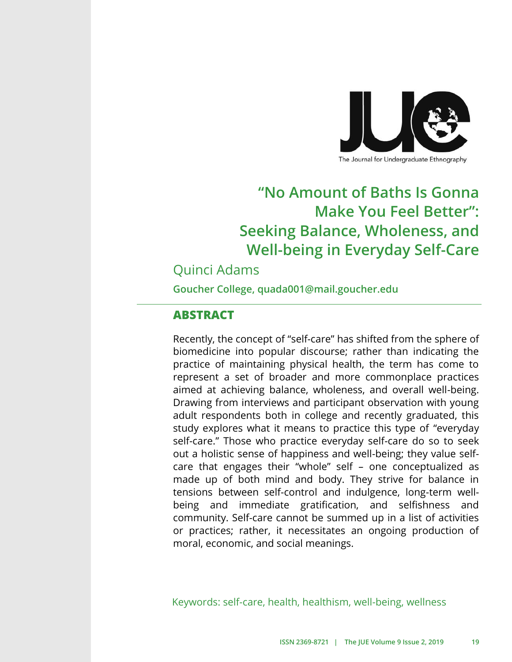

#### The Journal for Undergraduate Ethnography

# **"No Amount of Baths Is Gonna Make You Feel Better": Seeking Balance, Wholeness, and Well-being in Everyday Self-Care**

## Quinci Adams

**Goucher College, quada001@mail.goucher.edu**

### **ABSTRACT**

Recently, the concept of "self-care" has shifted from the sphere of biomedicine into popular discourse; rather than indicating the practice of maintaining physical health, the term has come to represent a set of broader and more commonplace practices aimed at achieving balance, wholeness, and overall well-being. Drawing from interviews and participant observation with young adult respondents both in college and recently graduated, this study explores what it means to practice this type of "everyday self-care." Those who practice everyday self-care do so to seek out a holistic sense of happiness and well-being; they value selfcare that engages their "whole" self – one conceptualized as made up of both mind and body. They strive for balance in tensions between self-control and indulgence, long-term wellbeing and immediate gratification, and selfishness and community. Self-care cannot be summed up in a list of activities or practices; rather, it necessitates an ongoing production of moral, economic, and social meanings.

Keywords: self-care, health, healthism, well-being, wellness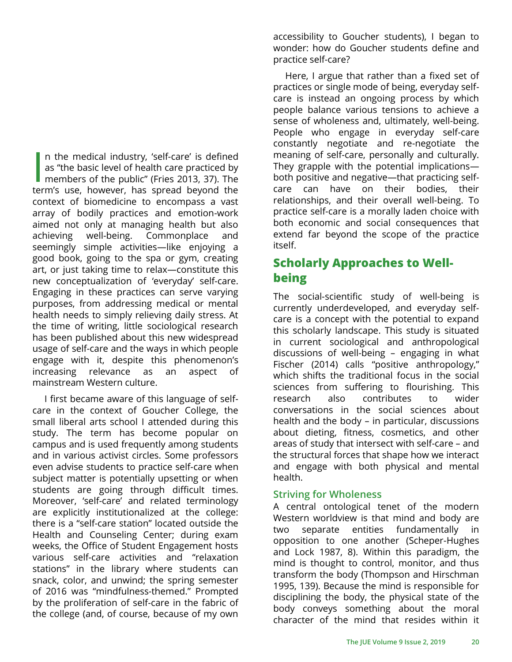In the medical industry, 'self-care' is defined<br>as "the basic level of health care practiced by<br>members of the public" (Fries 2013, 37). The n the medical industry, 'self-care' is defined as "the basic level of health care practiced by term's use, however, has spread beyond the context of biomedicine to encompass a vast array of bodily practices and emotion-work aimed not only at managing health but also achieving well-being. Commonplace and seemingly simple activities—like enjoying a good book, going to the spa or gym, creating art, or just taking time to relax—constitute this new conceptualization of 'everyday' self-care. Engaging in these practices can serve varying purposes, from addressing medical or mental health needs to simply relieving daily stress. At the time of writing, little sociological research has been published about this new widespread usage of self-care and the ways in which people engage with it, despite this phenomenon's increasing relevance as an aspect of mainstream Western culture.

I first became aware of this language of selfcare in the context of Goucher College, the small liberal arts school I attended during this study. The term has become popular on campus and is used frequently among students and in various activist circles. Some professors even advise students to practice self-care when subject matter is potentially upsetting or when students are going through difficult times. Moreover, 'self-care' and related terminology are explicitly institutionalized at the college: there is a "self-care station" located outside the Health and Counseling Center; during exam weeks, the Office of Student Engagement hosts various self-care activities and "relaxation stations" in the library where students can snack, color, and unwind; the spring semester of 2016 was "mindfulness-themed." Prompted by the proliferation of self-care in the fabric of the college (and, of course, because of my own

accessibility to Goucher students), I began to wonder: how do Goucher students define and practice self-care?

Here, I argue that rather than a fixed set of practices or single mode of being, everyday selfcare is instead an ongoing process by which people balance various tensions to achieve a sense of wholeness and, ultimately, well-being. People who engage in everyday self-care constantly negotiate and re-negotiate the meaning of self-care, personally and culturally. They grapple with the potential implications both positive and negative—that practicing selfcare can have on their bodies, their relationships, and their overall well-being. To practice self-care is a morally laden choice with both economic and social consequences that extend far beyond the scope of the practice itself.

### **Scholarly Approaches to Wellbeing**

The social-scientific study of well-being is currently underdeveloped, and everyday selfcare is a concept with the potential to expand this scholarly landscape. This study is situated in current sociological and anthropological discussions of well-being – engaging in what Fischer (2014) calls "positive anthropology," which shifts the traditional focus in the social sciences from suffering to flourishing. This research also contributes to wider conversations in the social sciences about health and the body – in particular, discussions about dieting, fitness, cosmetics, and other areas of study that intersect with self-care – and the structural forces that shape how we interact and engage with both physical and mental health.

### **Striving for Wholeness**

A central ontological tenet of the modern Western worldview is that mind and body are two separate entities fundamentally in opposition to one another (Scheper-Hughes and Lock 1987, 8). Within this paradigm, the mind is thought to control, monitor, and thus transform the body (Thompson and Hirschman 1995, 139). Because the mind is responsible for disciplining the body, the physical state of the body conveys something about the moral character of the mind that resides within it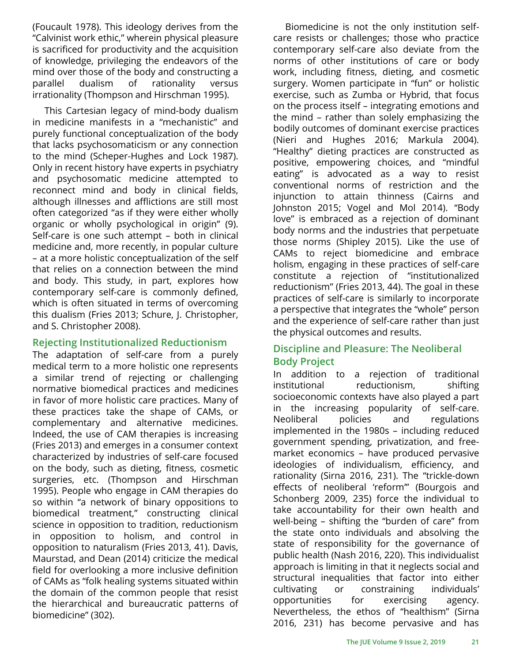(Foucault 1978). This ideology derives from the "Calvinist work ethic," wherein physical pleasure is sacrificed for productivity and the acquisition of knowledge, privileging the endeavors of the mind over those of the body and constructing a parallel dualism of rationality versus irrationality (Thompson and Hirschman 1995).

This Cartesian legacy of mind-body dualism in medicine manifests in a "mechanistic" and purely functional conceptualization of the body that lacks psychosomaticism or any connection to the mind (Scheper-Hughes and Lock 1987). Only in recent history have experts in psychiatry and psychosomatic medicine attempted to reconnect mind and body in clinical fields, although illnesses and afflictions are still most often categorized "as if they were either wholly organic or wholly psychological in origin" (9). Self-care is one such attempt – both in clinical medicine and, more recently, in popular culture – at a more holistic conceptualization of the self that relies on a connection between the mind and body. This study, in part, explores how contemporary self-care is commonly defined, which is often situated in terms of overcoming this dualism (Fries 2013; Schure, J. Christopher, and S. Christopher 2008).

#### **Rejecting Institutionalized Reductionism**

The adaptation of self-care from a purely medical term to a more holistic one represents a similar trend of rejecting or challenging normative biomedical practices and medicines in favor of more holistic care practices. Many of these practices take the shape of CAMs, or complementary and alternative medicines. Indeed, the use of CAM therapies is increasing (Fries 2013) and emerges in a consumer context characterized by industries of self-care focused on the body, such as dieting, fitness, cosmetic surgeries, etc. (Thompson and Hirschman 1995). People who engage in CAM therapies do so within "a network of binary oppositions to biomedical treatment," constructing clinical science in opposition to tradition, reductionism in opposition to holism, and control in opposition to naturalism (Fries 2013, 41). Davis, Maurstad, and Dean (2014) criticize the medical field for overlooking a more inclusive definition of CAMs as "folk healing systems situated within the domain of the common people that resist the hierarchical and bureaucratic patterns of biomedicine" (302).

Biomedicine is not the only institution selfcare resists or challenges; those who practice contemporary self-care also deviate from the norms of other institutions of care or body work, including fitness, dieting, and cosmetic surgery. Women participate in "fun" or holistic exercise, such as Zumba or Hybrid, that focus on the process itself – integrating emotions and the mind – rather than solely emphasizing the bodily outcomes of dominant exercise practices (Nieri and Hughes 2016; Markula 2004). "Healthy" dieting practices are constructed as positive, empowering choices, and "mindful eating" is advocated as a way to resist conventional norms of restriction and the injunction to attain thinness (Cairns and Johnston 2015; Vogel and Mol 2014). "Body love" is embraced as a rejection of dominant body norms and the industries that perpetuate those norms (Shipley 2015). Like the use of CAMs to reject biomedicine and embrace holism, engaging in these practices of self-care constitute a rejection of "institutionalized reductionism" (Fries 2013, 44). The goal in these practices of self-care is similarly to incorporate a perspective that integrates the "whole" person and the experience of self-care rather than just the physical outcomes and results.

### **Discipline and Pleasure: The Neoliberal Body Project**

In addition to a rejection of traditional institutional reductionism, shifting socioeconomic contexts have also played a part in the increasing popularity of self-care. Neoliberal policies and regulations implemented in the 1980s – including reduced government spending, privatization, and freemarket economics – have produced pervasive ideologies of individualism, efficiency, and rationality (Sirna 2016, 231). The "trickle-down effects of neoliberal 'reform'" (Bourgois and Schonberg 2009, 235) force the individual to take accountability for their own health and well-being – shifting the "burden of care" from the state onto individuals and absolving the state of responsibility for the governance of public health (Nash 2016, 220). This individualist approach is limiting in that it neglects social and structural inequalities that factor into either cultivating or constraining individuals' opportunities for exercising agency. Nevertheless, the ethos of "healthism" (Sirna 2016, 231) has become pervasive and has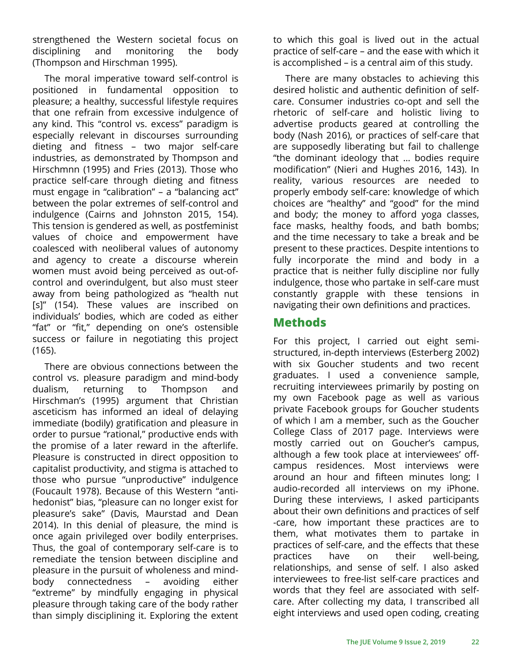strengthened the Western societal focus on disciplining and monitoring the body (Thompson and Hirschman 1995).

The moral imperative toward self-control is positioned in fundamental opposition to pleasure; a healthy, successful lifestyle requires that one refrain from excessive indulgence of any kind. This "control vs. excess" paradigm is especially relevant in discourses surrounding dieting and fitness – two major self-care industries, as demonstrated by Thompson and Hirschmnn (1995) and Fries (2013). Those who practice self-care through dieting and fitness must engage in "calibration" – a "balancing act" between the polar extremes of self-control and indulgence (Cairns and Johnston 2015, 154). This tension is gendered as well, as postfeminist values of choice and empowerment have coalesced with neoliberal values of autonomy and agency to create a discourse wherein women must avoid being perceived as out-ofcontrol and overindulgent, but also must steer away from being pathologized as "health nut [s]" (154). These values are inscribed on individuals' bodies, which are coded as either "fat" or "fit," depending on one's ostensible success or failure in negotiating this project (165).

There are obvious connections between the control vs. pleasure paradigm and mind-body dualism, returning to Thompson and Hirschman's (1995) argument that Christian asceticism has informed an ideal of delaying immediate (bodily) gratification and pleasure in order to pursue "rational," productive ends with the promise of a later reward in the afterlife. Pleasure is constructed in direct opposition to capitalist productivity, and stigma is attached to those who pursue "unproductive" indulgence (Foucault 1978). Because of this Western "antihedonist" bias, "pleasure can no longer exist for pleasure's sake" (Davis, Maurstad and Dean 2014). In this denial of pleasure, the mind is once again privileged over bodily enterprises. Thus, the goal of contemporary self-care is to remediate the tension between discipline and pleasure in the pursuit of wholeness and mindbody connectedness – avoiding either "extreme" by mindfully engaging in physical pleasure through taking care of the body rather than simply disciplining it. Exploring the extent to which this goal is lived out in the actual practice of self-care – and the ease with which it is accomplished – is a central aim of this study.

There are many obstacles to achieving this desired holistic and authentic definition of selfcare. Consumer industries co-opt and sell the rhetoric of self-care and holistic living to advertise products geared at controlling the body (Nash 2016), or practices of self-care that are supposedly liberating but fail to challenge "the dominant ideology that … bodies require modification" (Nieri and Hughes 2016, 143). In reality, various resources are needed to properly embody self-care: knowledge of which choices are "healthy" and "good" for the mind and body; the money to afford yoga classes, face masks, healthy foods, and bath bombs; and the time necessary to take a break and be present to these practices. Despite intentions to fully incorporate the mind and body in a practice that is neither fully discipline nor fully indulgence, those who partake in self-care must constantly grapple with these tensions in navigating their own definitions and practices.

### **Methods**

For this project, I carried out eight semistructured, in-depth interviews (Esterberg 2002) with six Goucher students and two recent graduates. I used a convenience sample, recruiting interviewees primarily by posting on my own Facebook page as well as various private Facebook groups for Goucher students of which I am a member, such as the Goucher College Class of 2017 page. Interviews were mostly carried out on Goucher's campus, although a few took place at interviewees' offcampus residences. Most interviews were around an hour and fifteen minutes long; I audio-recorded all interviews on my iPhone. During these interviews, I asked participants about their own definitions and practices of self -care, how important these practices are to them, what motivates them to partake in practices of self-care, and the effects that these practices have on their well-being, relationships, and sense of self. I also asked interviewees to free-list self-care practices and words that they feel are associated with selfcare. After collecting my data, I transcribed all eight interviews and used open coding, creating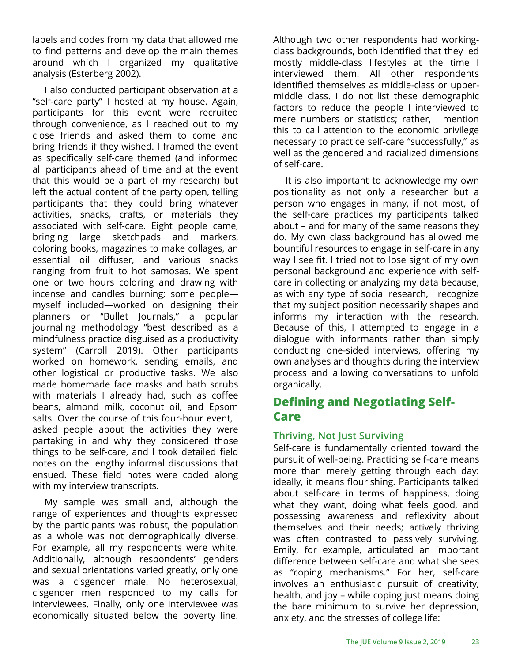labels and codes from my data that allowed me to find patterns and develop the main themes around which I organized my qualitative analysis (Esterberg 2002).

I also conducted participant observation at a "self-care party" I hosted at my house. Again, participants for this event were recruited through convenience, as I reached out to my close friends and asked them to come and bring friends if they wished. I framed the event as specifically self-care themed (and informed all participants ahead of time and at the event that this would be a part of my research) but left the actual content of the party open, telling participants that they could bring whatever activities, snacks, crafts, or materials they associated with self-care. Eight people came, bringing large sketchpads and markers, coloring books, magazines to make collages, an essential oil diffuser, and various snacks ranging from fruit to hot samosas. We spent one or two hours coloring and drawing with incense and candles burning; some people myself included—worked on designing their planners or "Bullet Journals," a popular journaling methodology "best described as a mindfulness practice disguised as a productivity system" (Carroll 2019). Other participants worked on homework, sending emails, and other logistical or productive tasks. We also made homemade face masks and bath scrubs with materials I already had, such as coffee beans, almond milk, coconut oil, and Epsom salts. Over the course of this four-hour event, I asked people about the activities they were partaking in and why they considered those things to be self-care, and I took detailed field notes on the lengthy informal discussions that ensued. These field notes were coded along with my interview transcripts.

My sample was small and, although the range of experiences and thoughts expressed by the participants was robust, the population as a whole was not demographically diverse. For example, all my respondents were white. Additionally, although respondents' genders and sexual orientations varied greatly, only one was a cisgender male. No heterosexual, cisgender men responded to my calls for interviewees. Finally, only one interviewee was economically situated below the poverty line.

Although two other respondents had workingclass backgrounds, both identified that they led mostly middle-class lifestyles at the time I interviewed them. All other respondents identified themselves as middle-class or uppermiddle class. I do not list these demographic factors to reduce the people I interviewed to mere numbers or statistics; rather, I mention this to call attention to the economic privilege necessary to practice self-care "successfully," as well as the gendered and racialized dimensions of self-care.

It is also important to acknowledge my own positionality as not only a researcher but a person who engages in many, if not most, of the self-care practices my participants talked about – and for many of the same reasons they do. My own class background has allowed me bountiful resources to engage in self-care in any way I see fit. I tried not to lose sight of my own personal background and experience with selfcare in collecting or analyzing my data because, as with any type of social research, I recognize that my subject position necessarily shapes and informs my interaction with the research. Because of this, I attempted to engage in a dialogue with informants rather than simply conducting one-sided interviews, offering my own analyses and thoughts during the interview process and allowing conversations to unfold organically.

## **Defining and Negotiating Self-Care**

#### **Thriving, Not Just Surviving**

Self-care is fundamentally oriented toward the pursuit of well-being. Practicing self-care means more than merely getting through each day: ideally, it means flourishing. Participants talked about self-care in terms of happiness, doing what they want, doing what feels good, and possessing awareness and reflexivity about themselves and their needs; actively thriving was often contrasted to passively surviving. Emily, for example, articulated an important difference between self-care and what she sees as "coping mechanisms." For her, self-care involves an enthusiastic pursuit of creativity, health, and joy – while coping just means doing the bare minimum to survive her depression, anxiety, and the stresses of college life: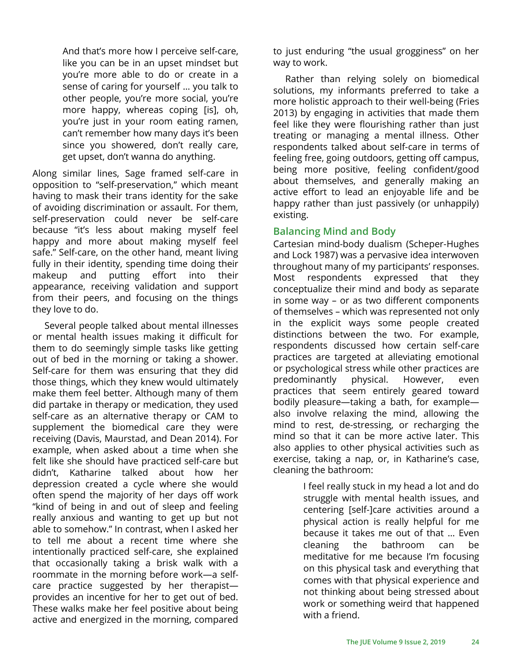And that's more how I perceive self-care, like you can be in an upset mindset but you're more able to do or create in a sense of caring for yourself … you talk to other people, you're more social, you're more happy, whereas coping [is], oh, you're just in your room eating ramen, can't remember how many days it's been since you showered, don't really care, get upset, don't wanna do anything.

Along similar lines, Sage framed self-care in opposition to "self-preservation," which meant having to mask their trans identity for the sake of avoiding discrimination or assault. For them, self-preservation could never be self-care because "it's less about making myself feel happy and more about making myself feel safe." Self-care, on the other hand, meant living fully in their identity, spending time doing their makeup and putting effort into their appearance, receiving validation and support from their peers, and focusing on the things they love to do.

Several people talked about mental illnesses or mental health issues making it difficult for them to do seemingly simple tasks like getting out of bed in the morning or taking a shower. Self-care for them was ensuring that they did those things, which they knew would ultimately make them feel better. Although many of them did partake in therapy or medication, they used self-care as an alternative therapy or CAM to supplement the biomedical care they were receiving (Davis, Maurstad, and Dean 2014). For example, when asked about a time when she felt like she should have practiced self-care but didn't, Katharine talked about how her depression created a cycle where she would often spend the majority of her days off work "kind of being in and out of sleep and feeling really anxious and wanting to get up but not able to somehow." In contrast, when I asked her to tell me about a recent time where she intentionally practiced self-care, she explained that occasionally taking a brisk walk with a roommate in the morning before work—a selfcare practice suggested by her therapist provides an incentive for her to get out of bed. These walks make her feel positive about being active and energized in the morning, compared

to just enduring "the usual grogginess" on her way to work.

Rather than relying solely on biomedical solutions, my informants preferred to take a more holistic approach to their well-being (Fries 2013) by engaging in activities that made them feel like they were flourishing rather than just treating or managing a mental illness. Other respondents talked about self-care in terms of feeling free, going outdoors, getting off campus, being more positive, feeling confident/good about themselves, and generally making an active effort to lead an enjoyable life and be happy rather than just passively (or unhappily) existing.

#### **Balancing Mind and Body**

Cartesian mind-body dualism (Scheper-Hughes and Lock 1987) was a pervasive idea interwoven throughout many of my participants' responses. Most respondents expressed that they conceptualize their mind and body as separate in some way – or as two different components of themselves – which was represented not only in the explicit ways some people created distinctions between the two. For example, respondents discussed how certain self-care practices are targeted at alleviating emotional or psychological stress while other practices are predominantly physical. However, even practices that seem entirely geared toward bodily pleasure—taking a bath, for example also involve relaxing the mind, allowing the mind to rest, de-stressing, or recharging the mind so that it can be more active later. This also applies to other physical activities such as exercise, taking a nap, or, in Katharine's case, cleaning the bathroom:

> I feel really stuck in my head a lot and do struggle with mental health issues, and centering [self-]care activities around a physical action is really helpful for me because it takes me out of that … Even cleaning the bathroom can be meditative for me because I'm focusing on this physical task and everything that comes with that physical experience and not thinking about being stressed about work or something weird that happened with a friend.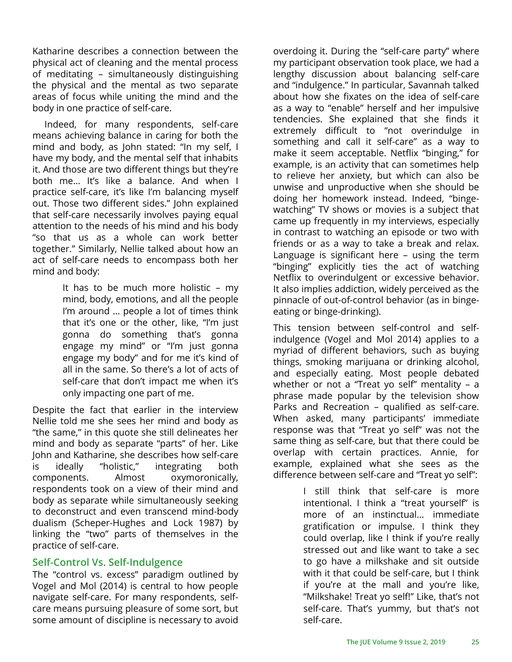Katharine describes a connection between the physical act of cleaning and the mental process of meditating – simultaneously distinguishing the physical and the mental as two separate areas of focus while uniting the mind and the body in one practice of self-care.

Indeed, for many respondents, self-care means achieving balance in caring for both the mind and body, as John stated: "In my self, I have my body, and the mental self that inhabits it. And those are two different things but they're both me... It's like a balance. And when I practice self-care, it's like I'm balancing myself out. Those two different sides." John explained that self-care necessarily involves paying equal attention to the needs of his mind and his body "so that us as a whole can work better together." Similarly, Nellie talked about how an act of self-care needs to encompass both her mind and body:

> It has to be much more holistic – my mind, body, emotions, and all the people I'm around … people a lot of times think that it's one or the other, like, "I'm just gonna do something that's gonna engage my mind" or "I'm just gonna engage my body" and for me it's kind of all in the same. So there's a lot of acts of self-care that don't impact me when it's only impacting one part of me.

Despite the fact that earlier in the interview Nellie told me she sees her mind and body as "the same," in this quote she still delineates her mind and body as separate "parts" of her. Like John and Katharine, she describes how self-care is ideally "holistic," integrating both components. Almost oxymoronically, respondents took on a view of their mind and body as separate while simultaneously seeking to deconstruct and even transcend mind-body dualism (Scheper-Hughes and Lock 1987) by linking the "two" parts of themselves in the practice of self-care.

#### **Self-Control Vs. Self-Indulgence**

The "control vs. excess" paradigm outlined by Vogel and Mol (2014) is central to how people navigate self-care. For many respondents, selfcare means pursuing pleasure of some sort, but some amount of discipline is necessary to avoid

overdoing it. During the "self-care party" where my participant observation took place, we had a lengthy discussion about balancing self-care and "indulgence." In particular, Savannah talked about how she fixates on the idea of self-care as a way to "enable" herself and her impulsive tendencies. She explained that she finds it extremely difficult to "not overindulge in something and call it self-care" as a way to make it seem acceptable. Netflix "binging," for example, is an activity that can sometimes help to relieve her anxiety, but which can also be unwise and unproductive when she should be doing her homework instead. Indeed, "bingewatching" TV shows or movies is a subject that came up frequently in my interviews, especially in contrast to watching an episode or two with friends or as a way to take a break and relax. Language is significant here – using the term "binging" explicitly ties the act of watching Netflix to overindulgent or excessive behavior. It also implies addiction, widely perceived as the pinnacle of out-of-control behavior (as in bingeeating or binge-drinking).

This tension between self-control and selfindulgence (Vogel and Mol 2014) applies to a myriad of different behaviors, such as buying things, smoking marijuana or drinking alcohol, and especially eating. Most people debated whether or not a "Treat yo self" mentality – a phrase made popular by the television show Parks and Recreation – qualified as self-care. When asked, many participants' immediate response was that "Treat yo self" was not the same thing as self-care, but that there could be overlap with certain practices. Annie, for example, explained what she sees as the difference between self-care and "Treat yo self":

> I still think that self-care is more intentional. I think a "treat yourself" is more of an instinctual... immediate gratification or impulse. I think they could overlap, like I think if you're really stressed out and like want to take a sec to go have a milkshake and sit outside with it that could be self-care, but I think if you're at the mall and you're like, "Milkshake! Treat yo self!" Like, that's not self-care. That's yummy, but that's not self-care.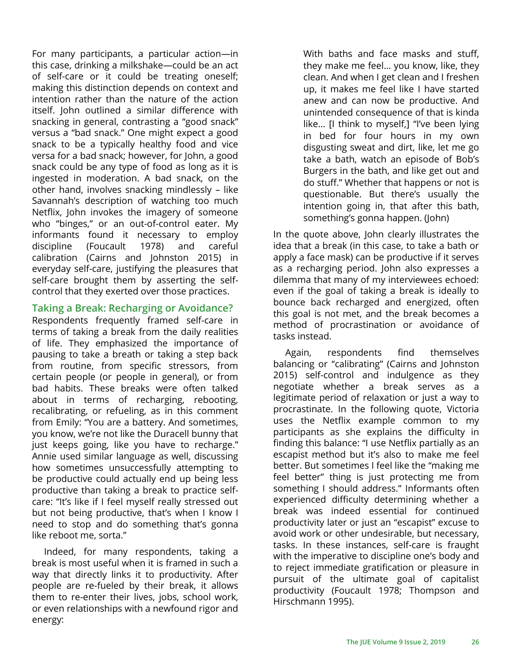For many participants, a particular action—in this case, drinking a milkshake—could be an act of self-care or it could be treating oneself; making this distinction depends on context and intention rather than the nature of the action itself. John outlined a similar difference with snacking in general, contrasting a "good snack" versus a "bad snack." One might expect a good snack to be a typically healthy food and vice versa for a bad snack; however, for John, a good snack could be any type of food as long as it is ingested in moderation. A bad snack, on the other hand, involves snacking mindlessly – like Savannah's description of watching too much Netflix, John invokes the imagery of someone who "binges," or an out-of-control eater. My informants found it necessary to employ discipline (Foucault 1978) and careful calibration (Cairns and Johnston 2015) in everyday self-care, justifying the pleasures that self-care brought them by asserting the selfcontrol that they exerted over those practices.

### **Taking a Break: Recharging or Avoidance?**

Respondents frequently framed self-care in terms of taking a break from the daily realities of life. They emphasized the importance of pausing to take a breath or taking a step back from routine, from specific stressors, from certain people (or people in general), or from bad habits. These breaks were often talked about in terms of recharging, rebooting, recalibrating, or refueling, as in this comment from Emily: "You are a battery. And sometimes, you know, we're not like the Duracell bunny that just keeps going, like you have to recharge." Annie used similar language as well, discussing how sometimes unsuccessfully attempting to be productive could actually end up being less productive than taking a break to practice selfcare: "It's like if I feel myself really stressed out but not being productive, that's when I know I need to stop and do something that's gonna like reboot me, sorta."

Indeed, for many respondents, taking a break is most useful when it is framed in such a way that directly links it to productivity. After people are re-fueled by their break, it allows them to re-enter their lives, jobs, school work, or even relationships with a newfound rigor and energy:

With baths and face masks and stuff, they make me feel… you know, like, they clean. And when I get clean and I freshen up, it makes me feel like I have started anew and can now be productive. And unintended consequence of that is kinda like… [I think to myself,] "I've been lying in bed for four hours in my own disgusting sweat and dirt, like, let me go take a bath, watch an episode of Bob's Burgers in the bath, and like get out and do stuff." Whether that happens or not is questionable. But there's usually the intention going in, that after this bath, something's gonna happen. (John)

In the quote above, John clearly illustrates the idea that a break (in this case, to take a bath or apply a face mask) can be productive if it serves as a recharging period. John also expresses a dilemma that many of my interviewees echoed: even if the goal of taking a break is ideally to bounce back recharged and energized, often this goal is not met, and the break becomes a method of procrastination or avoidance of tasks instead.

Again, respondents find themselves balancing or "calibrating" (Cairns and Johnston 2015) self-control and indulgence as they negotiate whether a break serves as a legitimate period of relaxation or just a way to procrastinate. In the following quote, Victoria uses the Netflix example common to my participants as she explains the difficulty in finding this balance: "I use Netflix partially as an escapist method but it's also to make me feel better. But sometimes I feel like the "making me feel better" thing is just protecting me from something I should address." Informants often experienced difficulty determining whether a break was indeed essential for continued productivity later or just an "escapist" excuse to avoid work or other undesirable, but necessary, tasks. In these instances, self-care is fraught with the imperative to discipline one's body and to reject immediate gratification or pleasure in pursuit of the ultimate goal of capitalist productivity (Foucault 1978; Thompson and Hirschmann 1995).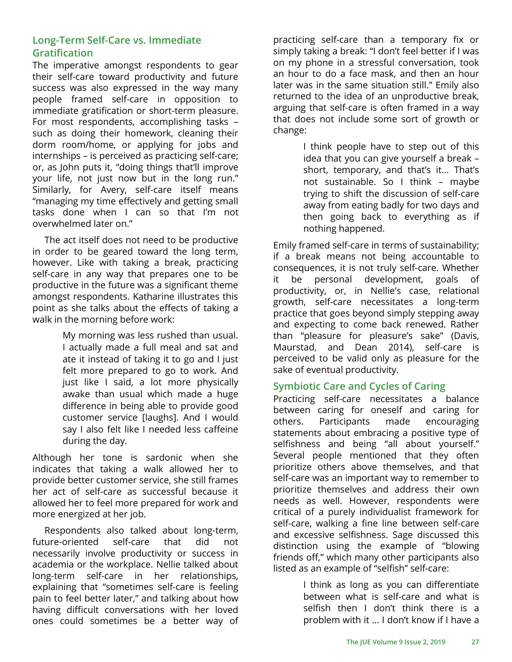### **Long-Term Self-Care vs. Immediate Gratification**

The imperative amongst respondents to gear their self-care toward productivity and future success was also expressed in the way many people framed self-care in opposition to immediate gratification or short-term pleasure. For most respondents, accomplishing tasks – such as doing their homework, cleaning their dorm room/home, or applying for jobs and internships – is perceived as practicing self-care; or, as John puts it, "doing things that'll improve your life, not just now but in the long run." Similarly, for Avery, self-care itself means "managing my time effectively and getting small tasks done when I can so that I'm not overwhelmed later on."

The act itself does not need to be productive in order to be geared toward the long term, however. Like with taking a break, practicing self-care in any way that prepares one to be productive in the future was a significant theme amongst respondents. Katharine illustrates this point as she talks about the effects of taking a walk in the morning before work:

> My morning was less rushed than usual. I actually made a full meal and sat and ate it instead of taking it to go and I just felt more prepared to go to work. And just like I said, a lot more physically awake than usual which made a huge difference in being able to provide good customer service [laughs]. And I would say I also felt like I needed less caffeine during the day.

Although her tone is sardonic when she indicates that taking a walk allowed her to provide better customer service, she still frames her act of self-care as successful because it allowed her to feel more prepared for work and more energized at her job.

Respondents also talked about long-term, future-oriented self-care that did not necessarily involve productivity or success in academia or the workplace. Nellie talked about long-term self-care in her relationships, explaining that "sometimes self-care is feeling pain to feel better later," and talking about how having difficult conversations with her loved ones could sometimes be a better way of practicing self-care than a temporary fix or simply taking a break: "I don't feel better if I was on my phone in a stressful conversation, took an hour to do a face mask, and then an hour later was in the same situation still." Emily also returned to the idea of an unproductive break, arguing that self-care is often framed in a way that does not include some sort of growth or change:

> I think people have to step out of this idea that you can give yourself a break – short, temporary, and that's it... That's not sustainable. So I think – maybe trying to shift the discussion of self-care away from eating badly for two days and then going back to everything as if nothing happened.

Emily framed self-care in terms of sustainability; if a break means not being accountable to consequences, it is not truly self-care. Whether it be personal development, goals of productivity, or, in Nellie's case, relational growth, self-care necessitates a long-term practice that goes beyond simply stepping away and expecting to come back renewed. Rather than "pleasure for pleasure's sake" (Davis, Maurstad, and Dean 2014), self-care is perceived to be valid only as pleasure for the sake of eventual productivity.

### **Symbiotic Care and Cycles of Caring**

Practicing self-care necessitates a balance between caring for oneself and caring for others. Participants made encouraging statements about embracing a positive type of selfishness and being "all about yourself." Several people mentioned that they often prioritize others above themselves, and that self-care was an important way to remember to prioritize themselves and address their own needs as well. However, respondents were critical of a purely individualist framework for self-care, walking a fine line between self-care and excessive selfishness. Sage discussed this distinction using the example of "blowing friends off," which many other participants also listed as an example of "selfish" self-care:

> I think as long as you can differentiate between what is self-care and what is selfish then I don't think there is a problem with it … I don't know if I have a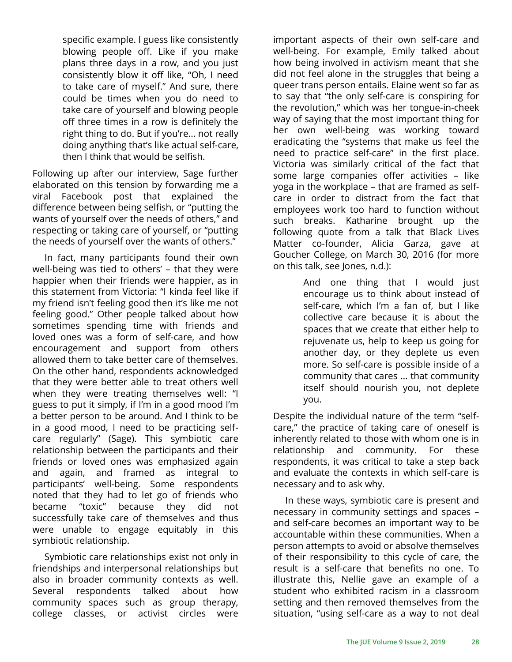specific example. I guess like consistently blowing people off. Like if you make plans three days in a row, and you just consistently blow it off like, "Oh, I need to take care of myself." And sure, there could be times when you do need to take care of yourself and blowing people off three times in a row is definitely the right thing to do. But if you're... not really doing anything that's like actual self-care, then I think that would be selfish.

Following up after our interview, Sage further elaborated on this tension by forwarding me a viral Facebook post that explained the difference between being selfish, or "putting the wants of yourself over the needs of others," and respecting or taking care of yourself, or "putting the needs of yourself over the wants of others."

In fact, many participants found their own well-being was tied to others' – that they were happier when their friends were happier, as in this statement from Victoria: "I kinda feel like if my friend isn't feeling good then it's like me not feeling good." Other people talked about how sometimes spending time with friends and loved ones was a form of self-care, and how encouragement and support from others allowed them to take better care of themselves. On the other hand, respondents acknowledged that they were better able to treat others well when they were treating themselves well: "I guess to put it simply, if I'm in a good mood I'm a better person to be around. And I think to be in a good mood, I need to be practicing selfcare regularly" (Sage). This symbiotic care relationship between the participants and their friends or loved ones was emphasized again and again, and framed as integral to participants' well-being. Some respondents noted that they had to let go of friends who became "toxic" because they did not successfully take care of themselves and thus were unable to engage equitably in this symbiotic relationship.

Symbiotic care relationships exist not only in friendships and interpersonal relationships but also in broader community contexts as well. Several respondents talked about how community spaces such as group therapy, college classes, or activist circles were

important aspects of their own self-care and well-being. For example, Emily talked about how being involved in activism meant that she did not feel alone in the struggles that being a queer trans person entails. Elaine went so far as to say that "the only self-care is conspiring for the revolution," which was her tongue-in-cheek way of saying that the most important thing for her own well-being was working toward eradicating the "systems that make us feel the need to practice self-care" in the first place. Victoria was similarly critical of the fact that some large companies offer activities – like yoga in the workplace – that are framed as selfcare in order to distract from the fact that employees work too hard to function without such breaks. Katharine brought up the following quote from a talk that Black Lives Matter co-founder, Alicia Garza, gave at Goucher College, on March 30, 2016 (for more on this talk, see Jones, n.d.):

> And one thing that I would just encourage us to think about instead of self-care, which I'm a fan of, but I like collective care because it is about the spaces that we create that either help to rejuvenate us, help to keep us going for another day, or they deplete us even more. So self-care is possible inside of a community that cares … that community itself should nourish you, not deplete you.

Despite the individual nature of the term "selfcare," the practice of taking care of oneself is inherently related to those with whom one is in relationship and community. For these respondents, it was critical to take a step back and evaluate the contexts in which self-care is necessary and to ask why.

In these ways, symbiotic care is present and necessary in community settings and spaces – and self-care becomes an important way to be accountable within these communities. When a person attempts to avoid or absolve themselves of their responsibility to this cycle of care, the result is a self-care that benefits no one. To illustrate this, Nellie gave an example of a student who exhibited racism in a classroom setting and then removed themselves from the situation, "using self-care as a way to not deal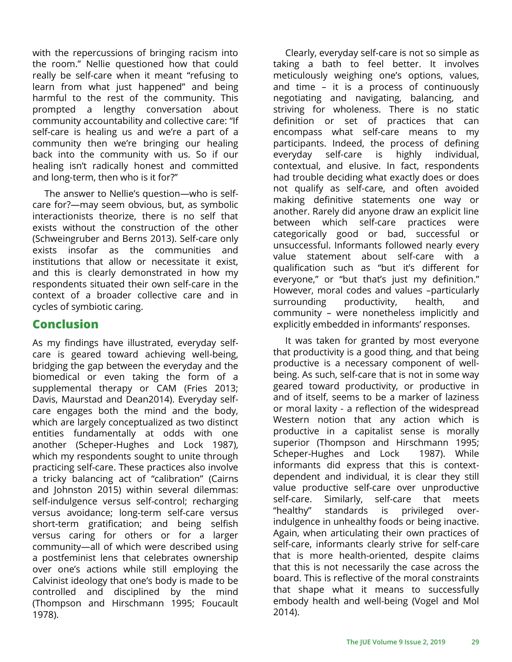with the repercussions of bringing racism into the room." Nellie questioned how that could really be self-care when it meant "refusing to learn from what just happened" and being harmful to the rest of the community. This prompted a lengthy conversation about community accountability and collective care: "If self-care is healing us and we're a part of a community then we're bringing our healing back into the community with us. So if our healing isn't radically honest and committed and long-term, then who is it for?"

The answer to Nellie's question—who is selfcare for?—may seem obvious, but, as symbolic interactionists theorize, there is no self that exists without the construction of the other (Schweingruber and Berns 2013). Self-care only exists insofar as the communities and institutions that allow or necessitate it exist, and this is clearly demonstrated in how my respondents situated their own self-care in the context of a broader collective care and in cycles of symbiotic caring.

### **Conclusion**

As my findings have illustrated, everyday selfcare is geared toward achieving well-being, bridging the gap between the everyday and the biomedical or even taking the form of a supplemental therapy or CAM (Fries 2013; Davis, Maurstad and Dean2014). Everyday selfcare engages both the mind and the body, which are largely conceptualized as two distinct entities fundamentally at odds with one another (Scheper-Hughes and Lock 1987), which my respondents sought to unite through practicing self-care. These practices also involve a tricky balancing act of "calibration" (Cairns and Johnston 2015) within several dilemmas: self-indulgence versus self-control; recharging versus avoidance; long-term self-care versus short-term gratification; and being selfish versus caring for others or for a larger community—all of which were described using a postfeminist lens that celebrates ownership over one's actions while still employing the Calvinist ideology that one's body is made to be controlled and disciplined by the mind (Thompson and Hirschmann 1995; Foucault 1978).

Clearly, everyday self-care is not so simple as taking a bath to feel better. It involves meticulously weighing one's options, values, and time – it is a process of continuously negotiating and navigating, balancing, and striving for wholeness. There is no static definition or set of practices that can encompass what self-care means to my participants. Indeed, the process of defining everyday self-care is highly individual, contextual, and elusive. In fact, respondents had trouble deciding what exactly does or does not qualify as self-care, and often avoided making definitive statements one way or another. Rarely did anyone draw an explicit line between which self-care practices were categorically good or bad, successful or unsuccessful. Informants followed nearly every value statement about self-care with a qualification such as "but it's different for everyone," or "but that's just my definition." However, moral codes and values –particularly surrounding productivity, health, and community – were nonetheless implicitly and explicitly embedded in informants' responses.

It was taken for granted by most everyone that productivity is a good thing, and that being productive is a necessary component of wellbeing. As such, self-care that is not in some way geared toward productivity, or productive in and of itself, seems to be a marker of laziness or moral laxity - a reflection of the widespread Western notion that any action which is productive in a capitalist sense is morally superior (Thompson and Hirschmann 1995; Scheper-Hughes and Lock 1987). While informants did express that this is contextdependent and individual, it is clear they still value productive self-care over unproductive self-care. Similarly, self-care that meets "healthy" standards is privileged overindulgence in unhealthy foods or being inactive. Again, when articulating their own practices of self-care, informants clearly strive for self-care that is more health-oriented, despite claims that this is not necessarily the case across the board. This is reflective of the moral constraints that shape what it means to successfully embody health and well-being (Vogel and Mol 2014).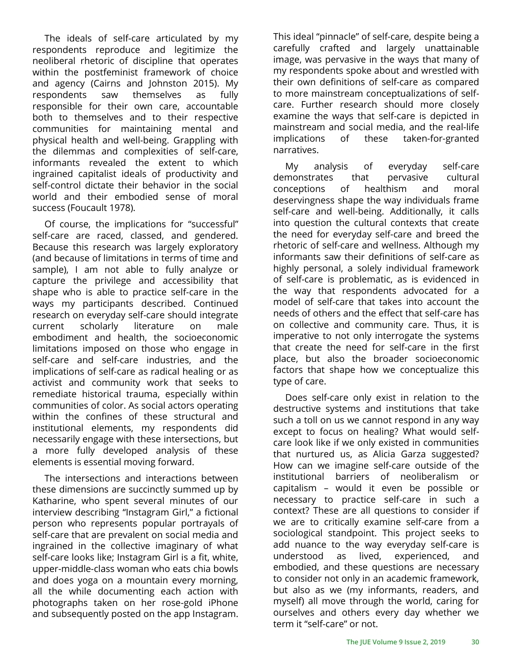The ideals of self-care articulated by my respondents reproduce and legitimize the neoliberal rhetoric of discipline that operates within the postfeminist framework of choice and agency (Cairns and Johnston 2015). My respondents saw themselves as fully responsible for their own care, accountable both to themselves and to their respective communities for maintaining mental and physical health and well-being. Grappling with the dilemmas and complexities of self-care, informants revealed the extent to which ingrained capitalist ideals of productivity and self-control dictate their behavior in the social world and their embodied sense of moral success (Foucault 1978).

Of course, the implications for "successful" self-care are raced, classed, and gendered. Because this research was largely exploratory (and because of limitations in terms of time and sample), I am not able to fully analyze or capture the privilege and accessibility that shape who is able to practice self-care in the ways my participants described. Continued research on everyday self-care should integrate current scholarly literature on male embodiment and health, the socioeconomic limitations imposed on those who engage in self-care and self-care industries, and the implications of self-care as radical healing or as activist and community work that seeks to remediate historical trauma, especially within communities of color. As social actors operating within the confines of these structural and institutional elements, my respondents did necessarily engage with these intersections, but a more fully developed analysis of these elements is essential moving forward.

The intersections and interactions between these dimensions are succinctly summed up by Katharine, who spent several minutes of our interview describing "Instagram Girl," a fictional person who represents popular portrayals of self-care that are prevalent on social media and ingrained in the collective imaginary of what self-care looks like; Instagram Girl is a fit, white, upper-middle-class woman who eats chia bowls and does yoga on a mountain every morning, all the while documenting each action with photographs taken on her rose-gold iPhone and subsequently posted on the app Instagram.

This ideal "pinnacle" of self-care, despite being a carefully crafted and largely unattainable image, was pervasive in the ways that many of my respondents spoke about and wrestled with their own definitions of self-care as compared to more mainstream conceptualizations of selfcare. Further research should more closely examine the ways that self-care is depicted in mainstream and social media, and the real-life implications of these taken-for-granted narratives.

My analysis of everyday self-care demonstrates that pervasive cultural conceptions of healthism and moral deservingness shape the way individuals frame self-care and well-being. Additionally, it calls into question the cultural contexts that create the need for everyday self-care and breed the rhetoric of self-care and wellness. Although my informants saw their definitions of self-care as highly personal, a solely individual framework of self-care is problematic, as is evidenced in the way that respondents advocated for a model of self-care that takes into account the needs of others and the effect that self-care has on collective and community care. Thus, it is imperative to not only interrogate the systems that create the need for self-care in the first place, but also the broader socioeconomic factors that shape how we conceptualize this type of care.

Does self-care only exist in relation to the destructive systems and institutions that take such a toll on us we cannot respond in any way except to focus on healing? What would selfcare look like if we only existed in communities that nurtured us, as Alicia Garza suggested? How can we imagine self-care outside of the institutional barriers of neoliberalism or capitalism – would it even be possible or necessary to practice self-care in such a context? These are all questions to consider if we are to critically examine self-care from a sociological standpoint. This project seeks to add nuance to the way everyday self-care is understood as lived, experienced, and embodied, and these questions are necessary to consider not only in an academic framework, but also as we (my informants, readers, and myself) all move through the world, caring for ourselves and others every day whether we term it "self-care" or not.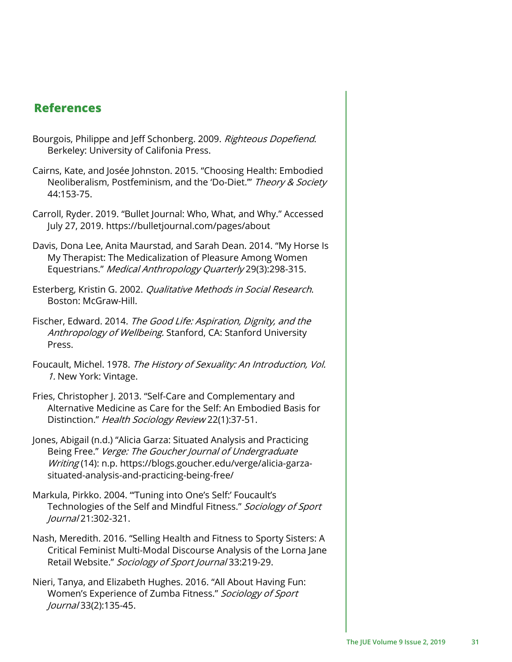### **References**

- Bourgois, Philippe and Jeff Schonberg. 2009. Righteous Dopefiend. Berkeley: University of Califonia Press.
- Cairns, Kate, and Josée Johnston. 2015. "Choosing Health: Embodied Neoliberalism, Postfeminism, and the 'Do-Diet."" Theory & Society 44:153-75.
- Carroll, Ryder. 2019. "Bullet Journal: Who, What, and Why." Accessed July 27, 2019. https://bulletjournal.com/pages/about
- Davis, Dona Lee, Anita Maurstad, and Sarah Dean. 2014. "My Horse Is My Therapist: The Medicalization of Pleasure Among Women Equestrians." Medical Anthropology Quarterly 29(3):298-315.
- Esterberg, Kristin G. 2002. Qualitative Methods in Social Research. Boston: McGraw-Hill.
- Fischer, Edward. 2014. The Good Life: Aspiration, Dignity, and the Anthropology of Wellbeing. Stanford, CA: Stanford University Press.
- Foucault, Michel. 1978. The History of Sexuality: An Introduction, Vol. 1. New York: Vintage.
- Fries, Christopher J. 2013. "Self-Care and Complementary and Alternative Medicine as Care for the Self: An Embodied Basis for Distinction." Health Sociology Review 22(1):37-51.
- Jones, Abigail (n.d.) "Alicia Garza: Situated Analysis and Practicing Being Free." Verge: The Goucher Journal of Undergraduate Writing (14): n.p. https://blogs.goucher.edu/verge/alicia-garzasituated-analysis-and-practicing-being-free/
- Markula, Pirkko. 2004. "'Tuning into One's Self:' Foucault's Technologies of the Self and Mindful Fitness." Sociology of Sport Journal 21:302-321.
- Nash, Meredith. 2016. "Selling Health and Fitness to Sporty Sisters: A Critical Feminist Multi-Modal Discourse Analysis of the Lorna Jane Retail Website." Sociology of Sport Journal 33:219-29.
- Nieri, Tanya, and Elizabeth Hughes. 2016. "All About Having Fun: Women's Experience of Zumba Fitness." Sociology of Sport Journal 33(2):135-45.